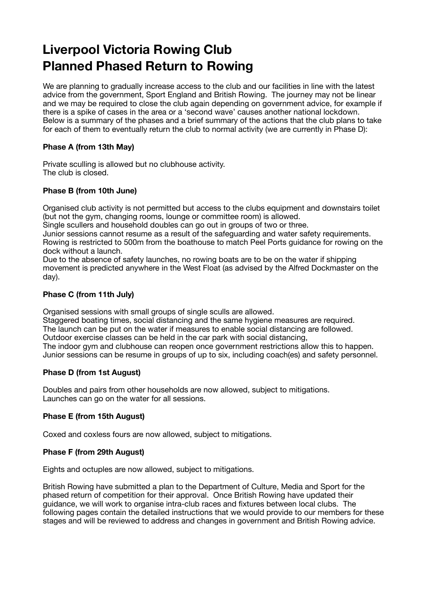# **Liverpool Victoria Rowing Club Planned Phased Return to Rowing**

We are planning to gradually increase access to the club and our facilities in line with the latest advice from the government, Sport England and British Rowing. The journey may not be linear and we may be required to close the club again depending on government advice, for example if there is a spike of cases in the area or a 'second wave' causes another national lockdown. Below is a summary of the phases and a brief summary of the actions that the club plans to take for each of them to eventually return the club to normal activity (we are currently in Phase D):

## **Phase A (from 13th May)**

Private sculling is allowed but no clubhouse activity. The club is closed.

#### **Phase B (from 10th June)**

Organised club activity is not permitted but access to the clubs equipment and downstairs toilet (but not the gym, changing rooms, lounge or committee room) is allowed.

Single scullers and household doubles can go out in groups of two or three.

Junior sessions cannot resume as a result of the safeguarding and water safety requirements. Rowing is restricted to 500m from the boathouse to match Peel Ports guidance for rowing on the dock without a launch.

Due to the absence of safety launches, no rowing boats are to be on the water if shipping movement is predicted anywhere in the West Float (as advised by the Alfred Dockmaster on the day).

#### **Phase C (from 11th July)**

Organised sessions with small groups of single sculls are allowed.

Staggered boating times, social distancing and the same hygiene measures are required. The launch can be put on the water if measures to enable social distancing are followed.

Outdoor exercise classes can be held in the car park with social distancing,

The indoor gym and clubhouse can reopen once government restrictions allow this to happen. Junior sessions can be resume in groups of up to six, including coach(es) and safety personnel.

#### **Phase D (from 1st August)**

Doubles and pairs from other households are now allowed, subject to mitigations. Launches can go on the water for all sessions.

## **Phase E (from 15th August)**

Coxed and coxless fours are now allowed, subject to mitigations.

#### **Phase F (from 29th August)**

Eights and octuples are now allowed, subject to mitigations.

British Rowing have submitted a plan to the Department of Culture, Media and Sport for the phased return of competition for their approval. Once British Rowing have updated their guidance, we will work to organise intra-club races and fixtures between local clubs. The following pages contain the detailed instructions that we would provide to our members for these stages and will be reviewed to address and changes in government and British Rowing advice.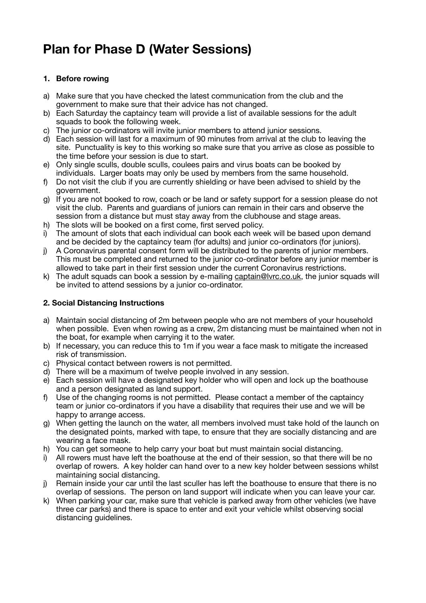# **Plan for Phase D (Water Sessions)**

## **1. Before rowing**

- a) Make sure that you have checked the latest communication from the club and the government to make sure that their advice has not changed.
- b) Each Saturday the captaincy team will provide a list of available sessions for the adult squads to book the following week.
- c) The junior co-ordinators will invite junior members to attend junior sessions.
- d) Each session will last for a maximum of 90 minutes from arrival at the club to leaving the site. Punctuality is key to this working so make sure that you arrive as close as possible to the time before your session is due to start.
- e) Only single sculls, double sculls, coulees pairs and virus boats can be booked by individuals. Larger boats may only be used by members from the same household.
- f) Do not visit the club if you are currently shielding or have been advised to shield by the government.
- g) If you are not booked to row, coach or be land or safety support for a session please do not visit the club. Parents and guardians of juniors can remain in their cars and observe the session from a distance but must stay away from the clubhouse and stage areas.
- h) The slots will be booked on a first come, first served policy.
- i) The amount of slots that each individual can book each week will be based upon demand and be decided by the captaincy team (for adults) and junior co-ordinators (for juniors).
- j) A Coronavirus parental consent form will be distributed to the parents of junior members. This must be completed and returned to the junior co-ordinator before any junior member is allowed to take part in their first session under the current Coronavirus restrictions.
- k) The adult squads can book a session by e-mailing [captain@lvrc.co.uk,](mailto:captain@lvrc.co.uk) the junior squads will be invited to attend sessions by a junior co-ordinator.

## **2. Social Distancing Instructions**

- a) Maintain social distancing of 2m between people who are not members of your household when possible. Even when rowing as a crew, 2m distancing must be maintained when not in the boat, for example when carrying it to the water.
- b) If necessary, you can reduce this to 1m if you wear a face mask to mitigate the increased risk of transmission.
- c) Physical contact between rowers is not permitted.
- d) There will be a maximum of twelve people involved in any session.
- e) Each session will have a designated key holder who will open and lock up the boathouse and a person designated as land support.
- f) Use of the changing rooms is not permitted. Please contact a member of the captaincy team or junior co-ordinators if you have a disability that requires their use and we will be happy to arrange access.
- g) When getting the launch on the water, all members involved must take hold of the launch on the designated points, marked with tape, to ensure that they are socially distancing and are wearing a face mask.
- h) You can get someone to help carry your boat but must maintain social distancing.
- i) All rowers must have left the boathouse at the end of their session, so that there will be no overlap of rowers. A key holder can hand over to a new key holder between sessions whilst maintaining social distancing.
- j) Remain inside your car until the last sculler has left the boathouse to ensure that there is no overlap of sessions. The person on land support will indicate when you can leave your car.
- k) When parking your car, make sure that vehicle is parked away from other vehicles (we have three car parks) and there is space to enter and exit your vehicle whilst observing social distancing guidelines.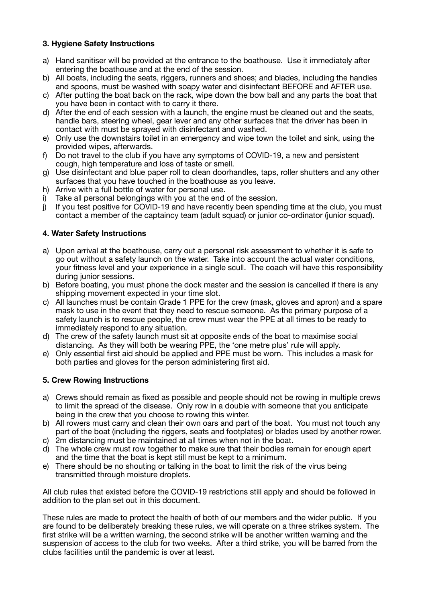### **3. Hygiene Safety Instructions**

- a) Hand sanitiser will be provided at the entrance to the boathouse. Use it immediately after entering the boathouse and at the end of the session.
- b) All boats, including the seats, riggers, runners and shoes; and blades, including the handles and spoons, must be washed with soapy water and disinfectant BEFORE and AFTER use.
- c) After putting the boat back on the rack, wipe down the bow ball and any parts the boat that you have been in contact with to carry it there.
- d) After the end of each session with a launch, the engine must be cleaned out and the seats, handle bars, steering wheel, gear lever and any other surfaces that the driver has been in contact with must be sprayed with disinfectant and washed.
- e) Only use the downstairs toilet in an emergency and wipe town the toilet and sink, using the provided wipes, afterwards.
- f) Do not travel to the club if you have any symptoms of COVID-19, a new and persistent cough, high temperature and loss of taste or smell.
- g) Use disinfectant and blue paper roll to clean doorhandles, taps, roller shutters and any other surfaces that you have touched in the boathouse as you leave.
- h) Arrive with a full bottle of water for personal use.
- i) Take all personal belongings with you at the end of the session.
- j) If you test positive for COVID-19 and have recently been spending time at the club, you must contact a member of the captaincy team (adult squad) or junior co-ordinator (junior squad).

#### **4. Water Safety Instructions**

- a) Upon arrival at the boathouse, carry out a personal risk assessment to whether it is safe to go out without a safety launch on the water. Take into account the actual water conditions, your fitness level and your experience in a single scull. The coach will have this responsibility during junior sessions.
- b) Before boating, you must phone the dock master and the session is cancelled if there is any shipping movement expected in your time slot.
- c) All launches must be contain Grade 1 PPE for the crew (mask, gloves and apron) and a spare mask to use in the event that they need to rescue someone. As the primary purpose of a safety launch is to rescue people, the crew must wear the PPE at all times to be ready to immediately respond to any situation.
- d) The crew of the safety launch must sit at opposite ends of the boat to maximise social distancing. As they will both be wearing PPE, the 'one metre plus' rule will apply.
- e) Only essential first aid should be applied and PPE must be worn. This includes a mask for both parties and gloves for the person administering first aid.

#### **5. Crew Rowing Instructions**

- a) Crews should remain as fixed as possible and people should not be rowing in multiple crews to limit the spread of the disease. Only row in a double with someone that you anticipate being in the crew that you choose to rowing this winter.
- b) All rowers must carry and clean their own oars and part of the boat. You must not touch any part of the boat (including the riggers, seats and footplates) or blades used by another rower.
- c) 2m distancing must be maintained at all times when not in the boat.
- d) The whole crew must row together to make sure that their bodies remain for enough apart and the time that the boat is kept still must be kept to a minimum.
- e) There should be no shouting or talking in the boat to limit the risk of the virus being transmitted through moisture droplets.

All club rules that existed before the COVID-19 restrictions still apply and should be followed in addition to the plan set out in this document.

These rules are made to protect the health of both of our members and the wider public. If you are found to be deliberately breaking these rules, we will operate on a three strikes system. The first strike will be a written warning, the second strike will be another written warning and the suspension of access to the club for two weeks. After a third strike, you will be barred from the clubs facilities until the pandemic is over at least.